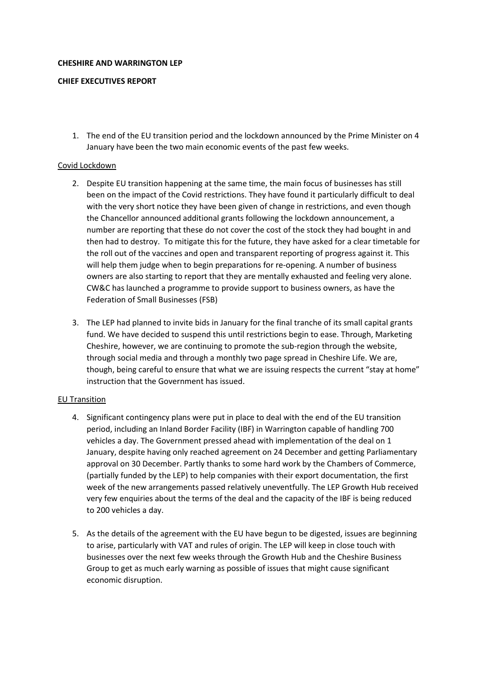#### **CHESHIRE AND WARRINGTON LEP**

## **CHIEF EXECUTIVES REPORT**

1. The end of the EU transition period and the lockdown announced by the Prime Minister on 4 January have been the two main economic events of the past few weeks.

#### Covid Lockdown

- 2. Despite EU transition happening at the same time, the main focus of businesses has still been on the impact of the Covid restrictions. They have found it particularly difficult to deal with the very short notice they have been given of change in restrictions, and even though the Chancellor announced additional grants following the lockdown announcement, a number are reporting that these do not cover the cost of the stock they had bought in and then had to destroy. To mitigate this for the future, they have asked for a clear timetable for the roll out of the vaccines and open and transparent reporting of progress against it. This will help them judge when to begin preparations for re-opening. A number of business owners are also starting to report that they are mentally exhausted and feeling very alone. CW&C has launched a programme to provide support to business owners, as have the Federation of Small Businesses (FSB)
- 3. The LEP had planned to invite bids in January for the final tranche of its small capital grants fund. We have decided to suspend this until restrictions begin to ease. Through, Marketing Cheshire, however, we are continuing to promote the sub-region through the website, through social media and through a monthly two page spread in Cheshire Life. We are, though, being careful to ensure that what we are issuing respects the current "stay at home" instruction that the Government has issued.

## EU Transition

- 4. Significant contingency plans were put in place to deal with the end of the EU transition period, including an Inland Border Facility (IBF) in Warrington capable of handling 700 vehicles a day. The Government pressed ahead with implementation of the deal on 1 January, despite having only reached agreement on 24 December and getting Parliamentary approval on 30 December. Partly thanks to some hard work by the Chambers of Commerce, (partially funded by the LEP) to help companies with their export documentation, the first week of the new arrangements passed relatively uneventfully. The LEP Growth Hub received very few enquiries about the terms of the deal and the capacity of the IBF is being reduced to 200 vehicles a day.
- 5. As the details of the agreement with the EU have begun to be digested, issues are beginning to arise, particularly with VAT and rules of origin. The LEP will keep in close touch with businesses over the next few weeks through the Growth Hub and the Cheshire Business Group to get as much early warning as possible of issues that might cause significant economic disruption.